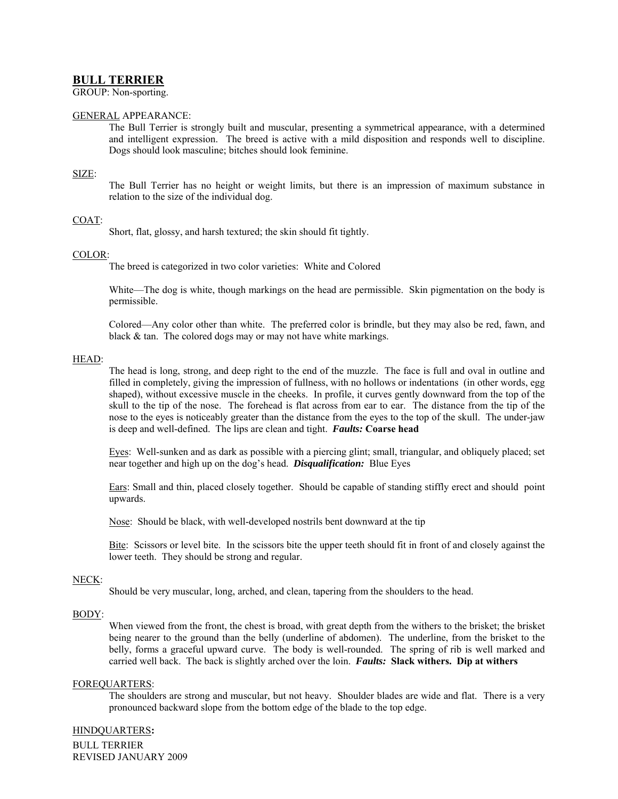# **BULL TERRIER**

GROUP: Non-sporting.

## GENERAL APPEARANCE:

The Bull Terrier is strongly built and muscular, presenting a symmetrical appearance, with a determined and intelligent expression. The breed is active with a mild disposition and responds well to discipline. Dogs should look masculine; bitches should look feminine.

#### SIZE:

The Bull Terrier has no height or weight limits, but there is an impression of maximum substance in relation to the size of the individual dog.

#### COAT:

Short, flat, glossy, and harsh textured; the skin should fit tightly.

#### COLOR:

The breed is categorized in two color varieties: White and Colored

White—The dog is white, though markings on the head are permissible. Skin pigmentation on the body is permissible.

Colored—Any color other than white. The preferred color is brindle, but they may also be red, fawn, and black & tan. The colored dogs may or may not have white markings.

#### HEAD:

The head is long, strong, and deep right to the end of the muzzle. The face is full and oval in outline and filled in completely, giving the impression of fullness, with no hollows or indentations (in other words, egg shaped), without excessive muscle in the cheeks. In profile, it curves gently downward from the top of the skull to the tip of the nose. The forehead is flat across from ear to ear. The distance from the tip of the nose to the eyes is noticeably greater than the distance from the eyes to the top of the skull. The under-jaw is deep and well-defined. The lips are clean and tight. *Faults:* **Coarse head**

Eyes: Well-sunken and as dark as possible with a piercing glint; small, triangular, and obliquely placed; set near together and high up on the dog's head. *Disqualification:* Blue Eyes

Ears: Small and thin, placed closely together. Should be capable of standing stiffly erect and should point upwards.

Nose: Should be black, with well-developed nostrils bent downward at the tip

Bite: Scissors or level bite. In the scissors bite the upper teeth should fit in front of and closely against the lower teeth. They should be strong and regular.

#### NECK:

Should be very muscular, long, arched, and clean, tapering from the shoulders to the head.

### BODY:

When viewed from the front, the chest is broad, with great depth from the withers to the brisket; the brisket being nearer to the ground than the belly (underline of abdomen). The underline, from the brisket to the belly, forms a graceful upward curve. The body is well-rounded. The spring of rib is well marked and carried well back. The back is slightly arched over the loin. *Faults:* **Slack withers. Dip at withers**

#### FOREQUARTERS:

The shoulders are strong and muscular, but not heavy. Shoulder blades are wide and flat. There is a very pronounced backward slope from the bottom edge of the blade to the top edge.

#### HINDQUARTERS**:**

BULL TERRIER REVISED JANUARY 2009